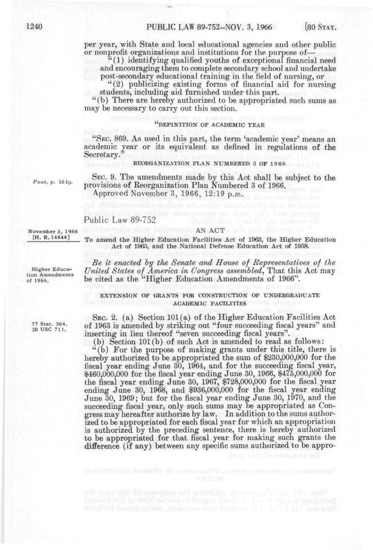per year, with State and local educational agencies and other public or nonprofit organizations and institutions for the purpose of—

" (1) identifying qualified youths of exceptional financial need and encouraging them to complete secondary school and undertake post-secondary educational training in the field of nursing, or

"(2) publicizing existing forms of financial aid for nursing students, including aid furnished under this part.

"(b) There are hereby authorized to be appropriated such sums as may be necessary to carry out this section.

## "DEFINITION OF ACADEMIC YEAR

"SEC. 869. As used in this part, the term 'academic year' means an academic year or its equivalent as defined in regulations of the Secretary.

#### REORGANIZATION PLAN NUMBERED 3 OF 1966

*Post, p.* 1610.

SEC. 9. The amendments made by this Act shall be subject to the provisions of Reorganization Plan Numbered 3 of 1966. Approved November 3, 1966, 12:19 p.m.

# Public Law 89-752

November 3, 1966 [H. R. 14644]

Higher Education Amendments of 1966.

77 Stat. 364.<br>20 USC 711.

To amend the Higher Education Facilities Act of 1963, the Higher Education Act of 1965, and the National Defense Education Act of 1958.

**AN ACT AN ACT AND ALL AND RE** 

*Be it enacted hy the Senate and House of Representatives of the United States of America in Congress assembled^* That this Act may be cited as the "Higher Education Amendments of 1966".

### EXTENSION OF GRANTS FOR CONSTRUCTION OF UNDERGRADUATE ACADEMIC FACILITIES

SEC. 2. (a) Section 101(a) of the Higher Education Facilities Act of 1963 is amended by striking out "four succeeding fiscal years" and inserting in lieu thereof "seven succeeding fiscal years".

(b) Section 101(b) of such Act is amended to read as follows:

"(b) For the purpose of making grants under this title, there is hereby authorized to be appropriated the sum of \$230,000,000 for the fiscal year ending June 30, 1964, and for the succeeding fiscal year, \$460,000,000 for the fiscal year ending June 30, 1966, \$475,000,000 for the fiscal year ending June 30, 1967, \$728,000,000 for the fiscal year ending June 30, 1968, and \$936,000,000 for the fiscal year ending June 30, 1969; but for the fiscal year ending June 30, 1970, and the succeeding fiscal year, only such sums may be appropriated as Congress may hereafter authorize by law. In addition to the sums authorized to be appropriated for each fiscal year for which an appropriation is authorized by the preceding sentence, there is hereby authorized to be appropriated for that fiscal year for making such grants the difference (if any) between any specific sums authorized to be appro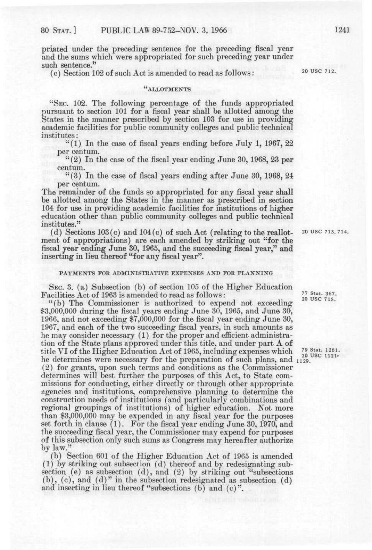priated under the preceding sentence for the preceding fiscal year and the sums which were appropriated for such preceding year under such sentence."

(c) Section 102 of such Act is amended to read as follows:  $20 \text{ VSC } 712$ .

# "ALLOTMENTS

"SEC. 102. The following percentage of the funds appropriated pursuant to section 101 for a fiscal year shall be allotted among the States in the manner prescribed by section 103 for use in providing academic facilities for public community colleges and public technical institutes:

" $(1)$  In the case of fiscal years ending before July 1, 1967, 22 per centum.

 $(2)$  In the case of the fiscal year ending June 30, 1968, 23 per centum.

"(3) In the case of fiscal years ending after June 30, 1968, 24 per centum.

The remainder of the funds so appropriated for any fiscal year shall be allotted among the States in the manner as prescribed in section 104 for use in providing academic facilities for institutions of higher education other than public community colleges and public technical institutes."

(d) Sections  $103(c)$  and  $104(c)$  of such Act (relating to the reallot- 20 USC 713,714. ment of appropriations) are each amended by striking out "for the fiscal year ending June 30, 1965, and the succeeding fiscal year," and inserting in lieu thereof "for any fiscal year".

### PAYMENTS FOR ADMINISTRATIVE EXPENSES AND FOR PLANNING

SEC. 3. (a) Subsection (b) of section 105 of the Higher Education Facilities Act of 1963 is amended to read as follows:  $^{77 \text{ Stat. 367}}_{20 \text{ USC. 715.}}$ 

"(b) The Commissioner is authorized to expend not exceeding \$3,000,000 during the fiscal years ending June 30, 1965, and June 30, 1966, and not exceeding \$7,000,000 for the fiscal year ending June 30, 1967, and each of the two succeeding fiscal years, in such amounts as he may consider necessary (1) for the proper and efficient administration of the State plans approved under this title, and under part A of title VI of the Higher Education Act of 1965, including expenses which <sup>79 Stat. 1261.</sup> he determines were necessary for the preparation of such plans, and 1129. (2) for grants, upon such terms and conditions as the Commissioner determines will best further the purposes of this Act, to State commissions for conducting, either directly or through other appropriate agencies and institutions, comprehensive planning to determine the construction needs of institutions (and particularly combinations and regional groupings of institutions) of higher education. Not more than \$3,000,000 may be expended in any fiscal year for the purposes set forth in clause (1). For the fiscal year ending June 30, 1970, and the succeeding fiscal year, the Commissioner may expend for purposes of this subsection only such sums as Congress may hereafter authorize by law."

(b) Section 601 of the Higher Education Act of 1965 is amended (1) by striking out subsection (d) thereof and by redesignating subsection (e) as subsection (d), and (2) by striking out "subsections (b), (c), and (d) " in the subsection redesignated as subsection (d) and inserting in lieu thereof "subsections (b) and (c)".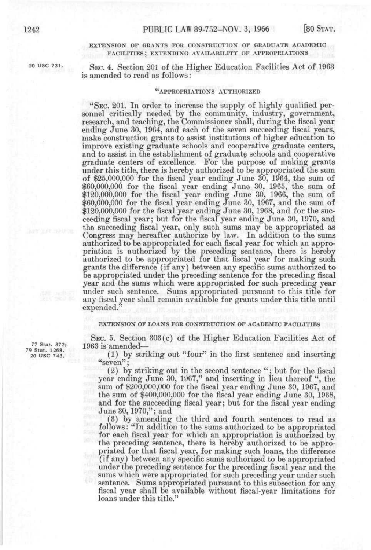### EXTENSION OF GRANTS FOR CONSTRUCTION OF GRADUATE ACADEMIC FACILITIES; EXTENDING AVAILABILITY OF APPROPRIATIONS

<sup>20 USC 731.</sup> SEC. 4. Section 201 of the Higher Education Facilities Act of 1963 is amended to read as follows:

## **a** APPROPRIATIONS AUTHORIZED

"SEC. 201. In order to increase the supply of highly qualified personnel critically needed by the community, industry, government, research, and teaching, the Commissioner shall, during the fiscal year ending June 30, 1964, and each of the seven succeeding fiscal years, make construction grants to assist institutions of higher education to improve existing graduate schools and cooperative graduate centers, and to assist in the establishment of graduate schools and cooperative graduate centers of excellence. For the purpose of making grants under this title, there is hereby authorized to be appropriated the sum of \$25,000,000 for the fiscal year ending June 30, 1964, the sum of \$60,000,000 for the fiscal year ending June 30, 1965, the *mm* of \$120,000,000 for the fiscal year ending June 30, 1966, the sum of \$60,000,000 for the fiscal year ending June 30, 1967, and the sum of \$120,000,000 for the fiscal year ending June 30, 1968, and for the succeeding fiscal year; but for the fiscal year ending June 30, 1970, and the succeeding fiscal year, only such sums may be appropriated as Congress may hereafter authorize by law. In addition to the sums authorized to be appropriated for each fiscal year for which an appropriation is authorized by the preceding sentence, there is hereby authorized to be appropriated for that fiscal year for making such grants the difference (if any) between any specific sums authorized to be appropriated under the preceding sentence for the preceding fiscal year and the sums which were appropriated for such preceding year under such sentence. Sums appropriated pursuant to this title for any fiscal year shall remain available for grants under this title until expended."

#### EXTENSION OF LOANS FOR CONSTRUCTION OF ACADEMIC FACILITIES

SEC. 5. Section 303(c) of the Higher Education Facilities Act of

20 use 743'. (1) by striking out "four" in the first sentence and inserting "seven";

> (2) by striking out in the second sentence " ; but for the fiscal year ending June 30, 1967," and inserting in lieu thereof ", the sum of \$200,000,000 for the fiscal year ending June 30, 1967, and the sum of \$400,000,000 for the fiscal year ending June 30, 1968, and for the succeeding fiscal year; but for the fiscal year ending June 30,1970,"; and

> (3) by amending the third and fourth sentences to read as follows: "In addition to the sums authorized to be appropriated for each fiscal year for which an appropriation is authorized by the preceding sentence, there is hereby authorized to be appropriated for that fiscal year, for making such loans, the difference (if any) between any specific sums authorized to be appropriated under the preceding sentence for the preceding fiscal year and the sums which were appropriated for such preceding year under such sentence. Sums appropriated pursuant to this subsection for any fiscal year shall be available without fiscal-year limitations for loans under this title."

77 Stat. 372; 1963 is amended-<br>79 Stat. 1268.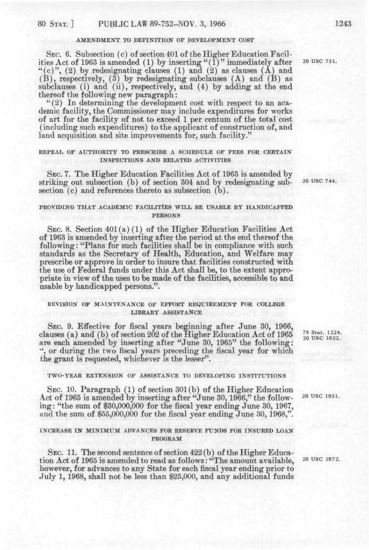#### AMENDMENT TO DEFINITION OF DEVELOPMENT COST

SEC. 6. Subsection (c) of section 401 of the Higher Education Facilities Act of 1963 is amended (1) by inserting "(1)" immediately after 20 USC 751. "(c)", (2) by redesignating clauses (1) and (2) as clauses  $(A)$  and (B), respectively, (3) by redesignating subclauses (A) and (B) as subclauses (i) and (ii), respectively, and (4) by adding at the end thereof the following new paragraph:

 $(2)$  In determining the development cost with respect to an academic facility, the Commissioner may include expenditures for works of art for the facility of not to exceed 1 per centum of the total cost (including such expenditures) to the applicant of construction of, and land acquisition and site improvements for, such facility."

### REPEAL OF AUTHORITY TO PRESCRIBE A SCHEDULE OF FEES FOR CERTAIN INSPECTIONS AND RELATED ACTIVITIES

SEC. 7. The Higher Education Facilities Act of 1963 is amended by striking out subsection (b) of section 304 and by redesignating sub- 20 use 744. section (c) and references thereto as subsection (b).

## PROVIDING THAT ACADEMIC FACILITIES WILL BE USABLE BY HANDICAPPED PERSONS

SEC. 8. Section 401(a) (1) of the Higher Education Facilities Act of 1963 is amended by inserting after the period at the end thereof the following: "Plans for such facilities shall be in compliance with such standards as the Secretary of Health, Education, and Welfare may prescribe or approve in order to insure that facilities constructed with the use of Federal funds under this Act shall be, to the extent appropriate in view of the uses to be made of the facilities, accessible to and usable by handicapped persons.".

### REVISION OF MAINTENANCE OF EFFORT REQUIREMENT FOR COLLEGE LIBRARY ASSISTANCE

SEC. 9. Effective for fiscal years beginning after June 30, 1966, clauses (a) and (b) of section 202 of the Higher Education Act of 1965 are each amended by inserting after "June 30, 1965" the following: ", or during the two fiscal years preceding the fiscal year for which the grant is requested, whichever is the lesser".

### TWO-YEAR EXTENSION OF ASSISTANCE TO DEVELOPING INSTITUTIONS

SEC. 10. Paragraph (1) of section 301 (b) of the Higher Education Act of 1965 is amended by inserting after "June 30, 1966," the follow- <sup>20 USC 1051.</sup> ing: "the sum of \$30,000,000 for the fiscal year ending June 30, 1967, and the sum of \$55,000,000 for the fiscal year ending June 30, 1968,".

### INCREASE IN MINIMUM ADVANCES FOR RESERVE FUNDS FOR INSURED LOAN PROGRAM

SEC. 11. The second sentence of section  $422(b)$  of the Higher Education Act of 1965 is amended to read as follows: "The amount available, 20 use 1072. however, for advances to any State for each fiscal year ending prior to July 1, 1968, shall not be less than \$25,000, and any additional funds

79 Stat. 1224.<br>20 USC 1022.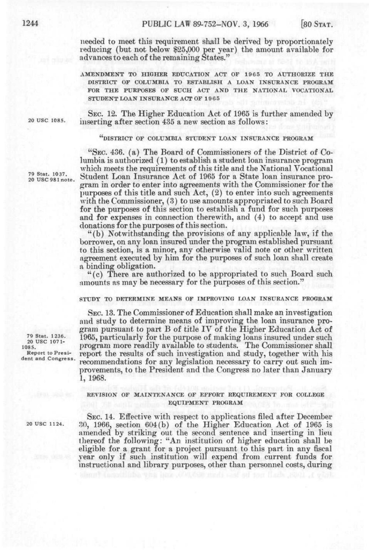needed to meet this requirement shall be derived by proportionately reducing (but not below \$25,000 per year) the amount available for advances to each of the remaining States."

AMENDMENT TO HIGHER EDUCATION ACT OF 1965 TO AUTHORIZE THE DISTRICT OF COLUMBIA TO ESTABLISH A LOAN INSURANCE PROGRAM FOR THE PURPOSES OF SUCH ACT AND THE NATIONAL VOCATIONAL STUDENT LOAN INSURANCE ACT OF 1965

SEC. 12. The Higher Education Act of 1965 is further amended by 20 use 1085. inserting after section 435 a new section as follows:

### "DISTRICT OF COLUMBIA STUDENT LOAN INSURANCE PROGRAM

"SEC. 436. (a) The Board of Commissioners of the District of Columbia is authorized (1) to establish a student loan insurance program which meets the requirements of this title and the National Vocational Student Loan Insurance Act of 1965 for a State loan insurance program in order to enter into agreements with the Commissioner for the purposes of this title and such  $Act, (2)$  to enter into such agreements with the Commissioner, (3) to use amounts appropriated to such Board for the purposes of this section to establish a fund for such purposes and for expenses in connection therewith, and (4) to accept and use donations for the purposes of this section.

"(b) Notwithstanding the provisions of any applicable law, if the borrower, on any loan insured under the program established pursuant to this section, is a minor, any otherwise valid note or other written agreement executed by him for the purposes of such loan shall create a binding obligation.

"(c) There are authorized to be appropriated to such Board such amounts as may be necessary for the purposes of this section."

### STUDY TO DETERMINE MEANS OF IMPROVING LOAN INSURANCE PROGRAM

SEC. 13. The Commissioner of Education shall make an investigation and study to determine means of improving the loan insurance program pursuant to part B of title IV of the Higher Education Act of  $\frac{79 \text{ Stat. } 1236.}{20 \text{ USC. } 1071.}$  1965, particularly for the purpose of making loans insured under such <sup>26</sup><sub>1085</sub>. " program more readily available to students. The Commissioner shall Report to Presi- report the results of such investigation and study, together with his<br>dent and Congress. moonman detions for any logiclation percessure to some out outh im recommendations for any legislation necessary to carry out such improvements, to the President and the Congress no later than January 1, 1968.

### REVISION OF MAIN'rENANCE OF EFFORT REQUIREMENT FOR COLLEGE EQUIPMENT PROGRAM

SEC. 14. Effective with respect to applications filed after December 20 use 1124. *?,o,* 1966, section 604(b) of the Higher Education Act of 1965 is amended by striking out the second sentence and inserting in lieu thereof the following: "An institution of higher education shall be eligible for a grant for a project pursuant to this part in any fiscal year only if such institution will expend from current funds for instructional and library purposes, other than personnel costs, during

79 Stat. 1037. 20 USC 981 note.